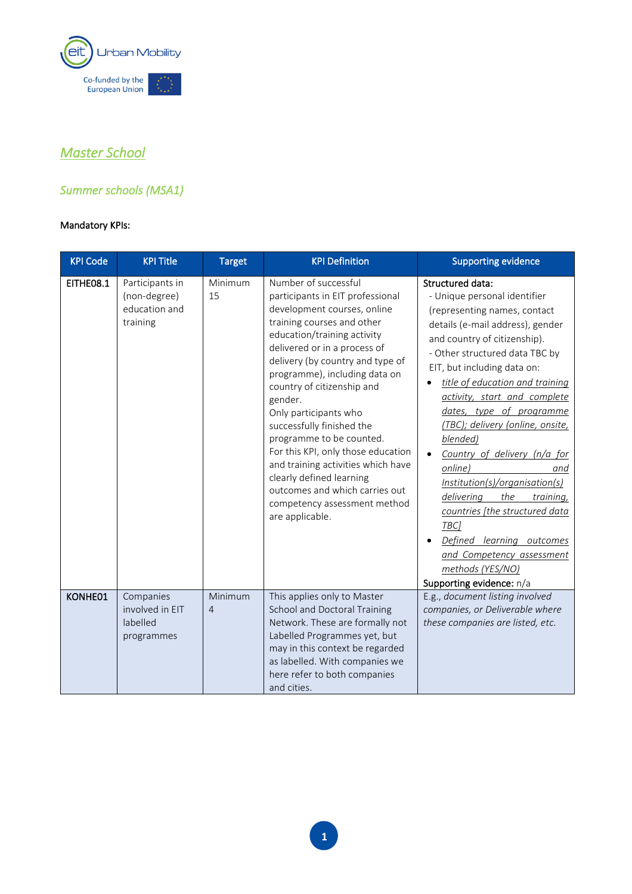

# *Master School*

# *Summer schools (MSA1)*

| <b>KPI Code</b> | <b>KPI Title</b>                                             | <b>Target</b>             | <b>KPI Definition</b>                                                                                                                                                                                                                                                                                                                                                                                                                                                                                                                                                             | <b>Supporting evidence</b>                                                                                                                                                                                                                                                                                                                                                                                                                                                                                                                                                                                                                                 |
|-----------------|--------------------------------------------------------------|---------------------------|-----------------------------------------------------------------------------------------------------------------------------------------------------------------------------------------------------------------------------------------------------------------------------------------------------------------------------------------------------------------------------------------------------------------------------------------------------------------------------------------------------------------------------------------------------------------------------------|------------------------------------------------------------------------------------------------------------------------------------------------------------------------------------------------------------------------------------------------------------------------------------------------------------------------------------------------------------------------------------------------------------------------------------------------------------------------------------------------------------------------------------------------------------------------------------------------------------------------------------------------------------|
| EITHE08.1       | Participants in<br>(non-degree)<br>education and<br>training | Minimum<br>15             | Number of successful<br>participants in EIT professional<br>development courses, online<br>training courses and other<br>education/training activity<br>delivered or in a process of<br>delivery (by country and type of<br>programme), including data on<br>country of citizenship and<br>gender.<br>Only participants who<br>successfully finished the<br>programme to be counted.<br>For this KPI, only those education<br>and training activities which have<br>clearly defined learning<br>outcomes and which carries out<br>competency assessment method<br>are applicable. | Structured data:<br>- Unique personal identifier<br>(representing names, contact<br>details (e-mail address), gender<br>and country of citizenship).<br>- Other structured data TBC by<br>EIT, but including data on:<br>title of education and training<br>activity, start and complete<br>dates, type of programme<br>(TBC); delivery (online, onsite,<br>blended)<br>Country of delivery (n/a for<br>online)<br>and<br>Institution(s)/organisation(s)<br>delivering<br>the<br>training,<br>countries [the structured data<br>TBC <sub>1</sub><br>Defined learning outcomes<br>and Competency assessment<br>methods (YES/NO)<br>Supporting evidence: n/a |
| KONHE01         | Companies<br>involved in EIT<br>labelled<br>programmes       | Minimum<br>$\overline{4}$ | This applies only to Master<br>School and Doctoral Training<br>Network. These are formally not<br>Labelled Programmes yet, but<br>may in this context be regarded<br>as labelled. With companies we<br>here refer to both companies<br>and cities.                                                                                                                                                                                                                                                                                                                                | E.g., document listing involved<br>companies, or Deliverable where<br>these companies are listed, etc.                                                                                                                                                                                                                                                                                                                                                                                                                                                                                                                                                     |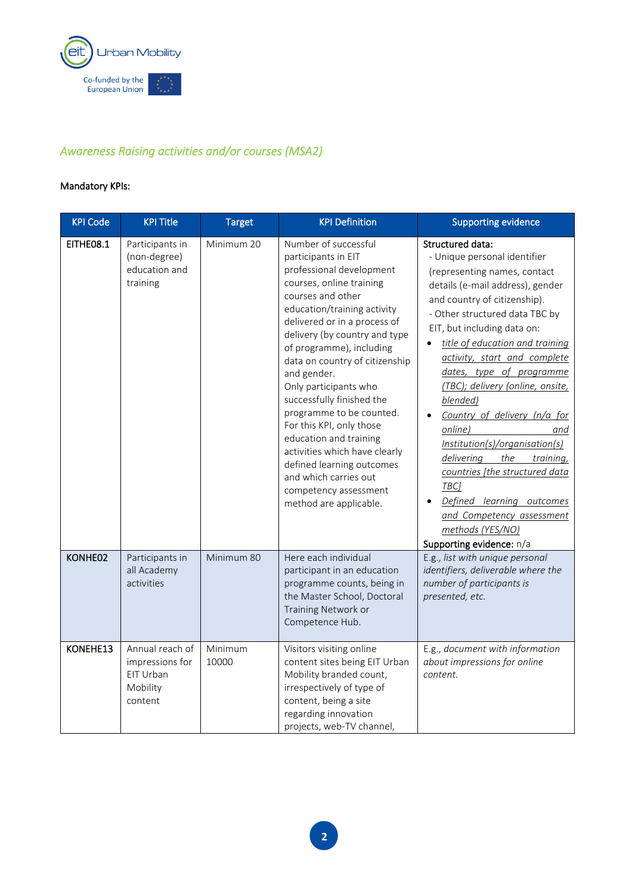

# *Awareness Raising activities and/or courses (MSA2)*

| <b>KPI Code</b> | <b>KPI Title</b>                                                       | <b>Target</b>    | <b>KPI Definition</b>                                                                                                                                                                                                                                                                                                                                                                                                                                                                                                                                                                   | <b>Supporting evidence</b>                                                                                                                                                                                                                                                                                                                                                                                                                                                                                                                                                                                                                            |
|-----------------|------------------------------------------------------------------------|------------------|-----------------------------------------------------------------------------------------------------------------------------------------------------------------------------------------------------------------------------------------------------------------------------------------------------------------------------------------------------------------------------------------------------------------------------------------------------------------------------------------------------------------------------------------------------------------------------------------|-------------------------------------------------------------------------------------------------------------------------------------------------------------------------------------------------------------------------------------------------------------------------------------------------------------------------------------------------------------------------------------------------------------------------------------------------------------------------------------------------------------------------------------------------------------------------------------------------------------------------------------------------------|
| EITHE08.1       | Participants in<br>(non-degree)<br>education and<br>training           | Minimum 20       | Number of successful<br>participants in EIT<br>professional development<br>courses, online training<br>courses and other<br>education/training activity<br>delivered or in a process of<br>delivery (by country and type<br>of programme), including<br>data on country of citizenship<br>and gender.<br>Only participants who<br>successfully finished the<br>programme to be counted.<br>For this KPI, only those<br>education and training<br>activities which have clearly<br>defined learning outcomes<br>and which carries out<br>competency assessment<br>method are applicable. | <b>Structured data:</b><br>- Unique personal identifier<br>(representing names, contact<br>details (e-mail address), gender<br>and country of citizenship).<br>- Other structured data TBC by<br>EIT, but including data on:<br>title of education and training<br>activity, start and complete<br>dates, type of programme<br>(TBC); delivery (online, onsite,<br>blended)<br>Country of delivery (n/a for<br>online)<br>and<br>Institution(s)/organisation(s)<br>delivering<br>the<br>training,<br>countries [the structured data<br>TBC]<br>Defined learning outcomes<br>and Competency assessment<br>methods (YES/NO)<br>Supporting evidence: n/a |
| KONHE02         | Participants in<br>all Academy<br>activities                           | Minimum 80       | Here each individual<br>participant in an education<br>programme counts, being in<br>the Master School, Doctoral<br>Training Network or<br>Competence Hub.                                                                                                                                                                                                                                                                                                                                                                                                                              | E.g., list with unique personal<br>identifiers, deliverable where the<br>number of participants is<br>presented, etc.                                                                                                                                                                                                                                                                                                                                                                                                                                                                                                                                 |
| KONEHE13        | Annual reach of<br>impressions for<br>EIT Urban<br>Mobility<br>content | Minimum<br>10000 | Visitors visiting online<br>content sites being EIT Urban<br>Mobility branded count,<br>irrespectively of type of<br>content, being a site<br>regarding innovation<br>projects, web-TV channel,                                                                                                                                                                                                                                                                                                                                                                                         | E.g., document with information<br>about impressions for online<br>content.                                                                                                                                                                                                                                                                                                                                                                                                                                                                                                                                                                           |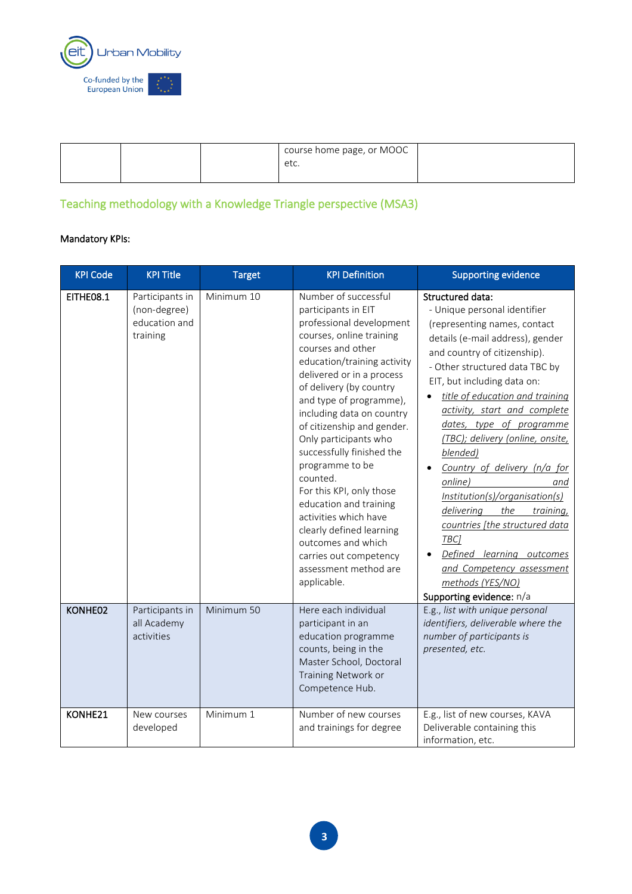

|  | course home page, or MOOC<br>etc. |  |
|--|-----------------------------------|--|
|  |                                   |  |

# Teaching methodology with a Knowledge Triangle perspective (MSA3)

| <b>KPI Code</b> | <b>KPI Title</b>                                             | <b>Target</b> | <b>KPI Definition</b>                                                                                                                                                                                                                                                                                                                                                                                                                                                                                                                                                                         | <b>Supporting evidence</b>                                                                                                                                                                                                                                                                                                                                                                                                                                                                                                                                                                                                                            |
|-----------------|--------------------------------------------------------------|---------------|-----------------------------------------------------------------------------------------------------------------------------------------------------------------------------------------------------------------------------------------------------------------------------------------------------------------------------------------------------------------------------------------------------------------------------------------------------------------------------------------------------------------------------------------------------------------------------------------------|-------------------------------------------------------------------------------------------------------------------------------------------------------------------------------------------------------------------------------------------------------------------------------------------------------------------------------------------------------------------------------------------------------------------------------------------------------------------------------------------------------------------------------------------------------------------------------------------------------------------------------------------------------|
| EITHE08.1       | Participants in<br>(non-degree)<br>education and<br>training | Minimum 10    | Number of successful<br>participants in EIT<br>professional development<br>courses, online training<br>courses and other<br>education/training activity<br>delivered or in a process<br>of delivery (by country<br>and type of programme),<br>including data on country<br>of citizenship and gender.<br>Only participants who<br>successfully finished the<br>programme to be<br>counted.<br>For this KPI, only those<br>education and training<br>activities which have<br>clearly defined learning<br>outcomes and which<br>carries out competency<br>assessment method are<br>applicable. | <b>Structured data:</b><br>- Unique personal identifier<br>(representing names, contact<br>details (e-mail address), gender<br>and country of citizenship).<br>- Other structured data TBC by<br>EIT, but including data on:<br>title of education and training<br>activity, start and complete<br>dates, type of programme<br>(TBC); delivery (online, onsite,<br>blended)<br>Country of delivery (n/a for<br>online)<br>and<br>Institution(s)/organisation(s)<br>delivering<br>the<br>training,<br>countries [the structured data<br>TBC]<br>Defined learning outcomes<br>and Competency assessment<br>methods (YES/NO)<br>Supporting evidence: n/a |
| KONHE02         | Participants in<br>all Academy<br>activities                 | Minimum 50    | Here each individual<br>participant in an<br>education programme<br>counts, being in the<br>Master School, Doctoral<br>Training Network or<br>Competence Hub.                                                                                                                                                                                                                                                                                                                                                                                                                                 | E.g., list with unique personal<br>identifiers, deliverable where the<br>number of participants is<br>presented, etc.                                                                                                                                                                                                                                                                                                                                                                                                                                                                                                                                 |
| KONHE21         | New courses<br>developed                                     | Minimum 1     | Number of new courses<br>and trainings for degree                                                                                                                                                                                                                                                                                                                                                                                                                                                                                                                                             | E.g., list of new courses, KAVA<br>Deliverable containing this<br>information, etc.                                                                                                                                                                                                                                                                                                                                                                                                                                                                                                                                                                   |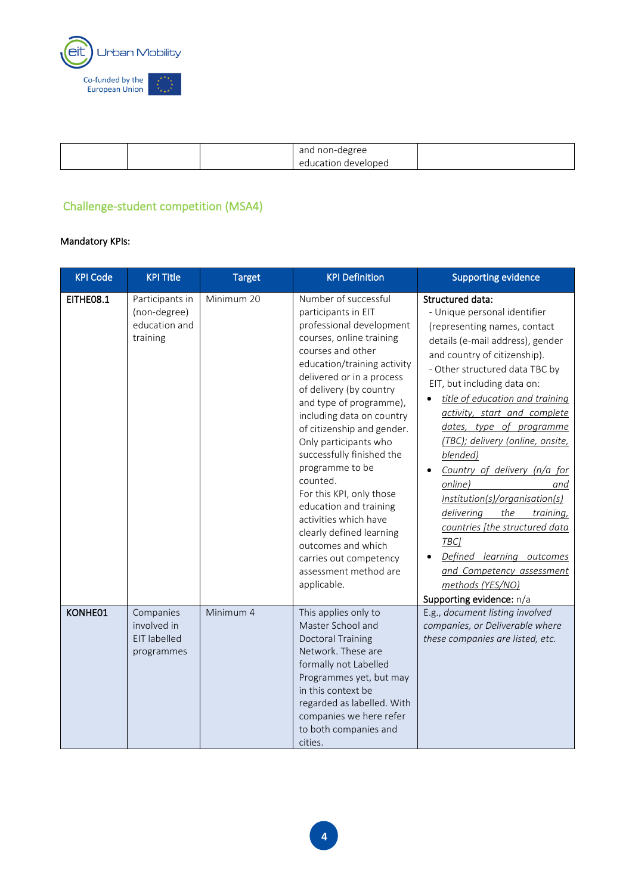

|  | and non-degree<br>education<br>ı develoned |  |
|--|--------------------------------------------|--|
|  |                                            |  |

### Challenge-student competition (MSA4)

| <b>KPI Code</b> | <b>KPI Title</b>                                             | <b>Target</b> | <b>KPI Definition</b>                                                                                                                                                                                                                                                                                                                                                                                                                                                                                                                                                                         | <b>Supporting evidence</b>                                                                                                                                                                                                                                                                                                                                                                                                                                                                                                                                                                                                                            |
|-----------------|--------------------------------------------------------------|---------------|-----------------------------------------------------------------------------------------------------------------------------------------------------------------------------------------------------------------------------------------------------------------------------------------------------------------------------------------------------------------------------------------------------------------------------------------------------------------------------------------------------------------------------------------------------------------------------------------------|-------------------------------------------------------------------------------------------------------------------------------------------------------------------------------------------------------------------------------------------------------------------------------------------------------------------------------------------------------------------------------------------------------------------------------------------------------------------------------------------------------------------------------------------------------------------------------------------------------------------------------------------------------|
| EITHE08.1       | Participants in<br>(non-degree)<br>education and<br>training | Minimum 20    | Number of successful<br>participants in EIT<br>professional development<br>courses, online training<br>courses and other<br>education/training activity<br>delivered or in a process<br>of delivery (by country<br>and type of programme),<br>including data on country<br>of citizenship and gender.<br>Only participants who<br>successfully finished the<br>programme to be<br>counted.<br>For this KPI, only those<br>education and training<br>activities which have<br>clearly defined learning<br>outcomes and which<br>carries out competency<br>assessment method are<br>applicable. | <b>Structured data:</b><br>- Unique personal identifier<br>(representing names, contact<br>details (e-mail address), gender<br>and country of citizenship).<br>- Other structured data TBC by<br>EIT, but including data on:<br>title of education and training<br>activity, start and complete<br>dates, type of programme<br>(TBC); delivery (online, onsite,<br>blended)<br>Country of delivery (n/a for<br>online)<br>and<br>Institution(s)/organisation(s)<br>delivering<br>the<br>training,<br>countries [the structured data<br>TBC]<br>Defined learning outcomes<br>and Competency assessment<br>methods (YES/NO)<br>Supporting evidence: n/a |
| KONHE01         | Companies<br>involved in<br>EIT labelled<br>programmes       | Minimum 4     | This applies only to<br>Master School and<br><b>Doctoral Training</b><br>Network. These are<br>formally not Labelled<br>Programmes yet, but may<br>in this context be<br>regarded as labelled. With<br>companies we here refer<br>to both companies and<br>cities.                                                                                                                                                                                                                                                                                                                            | E.g., document listing involved<br>companies, or Deliverable where<br>these companies are listed, etc.                                                                                                                                                                                                                                                                                                                                                                                                                                                                                                                                                |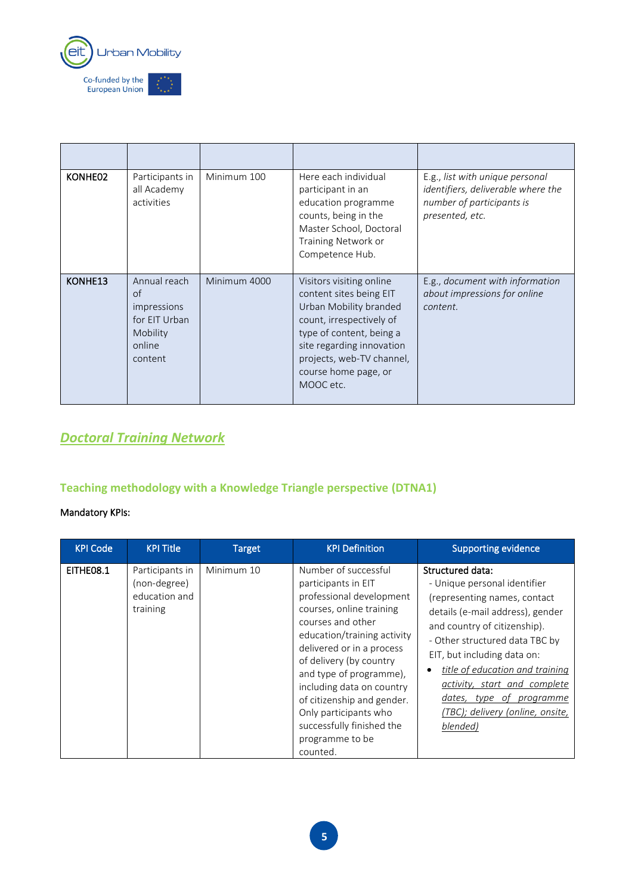

| KONHE02 | Participants in<br>all Academy<br>activities                                               | Minimum 100  | Here each individual<br>participant in an<br>education programme<br>counts, being in the<br>Master School, Doctoral<br>Training Network or<br>Competence Hub.                                                                        | E.g., list with unique personal<br>identifiers, deliverable where the<br>number of participants is<br>presented, etc. |
|---------|--------------------------------------------------------------------------------------------|--------------|--------------------------------------------------------------------------------------------------------------------------------------------------------------------------------------------------------------------------------------|-----------------------------------------------------------------------------------------------------------------------|
| KONHE13 | Annual reach<br>$\circ$ f<br>impressions<br>for EIT Urban<br>Mobility<br>online<br>content | Minimum 4000 | Visitors visiting online<br>content sites being EIT<br>Urban Mobility branded<br>count, irrespectively of<br>type of content, being a<br>site regarding innovation<br>projects, web-TV channel,<br>course home page, or<br>MOOC etc. | E.g., document with information<br>about impressions for online<br>content.                                           |

# *Doctoral Training Network*

# **Teaching methodology with a Knowledge Triangle perspective (DTNA1)**

| <b>KPI Code</b> | <b>KPI Title</b>                                             | <b>Target</b> | <b>KPI Definition</b>                                                                                                                                                                                                                                                                                                                                                                      | <b>Supporting evidence</b>                                                                                                                                                                                                                                                                                                                                              |
|-----------------|--------------------------------------------------------------|---------------|--------------------------------------------------------------------------------------------------------------------------------------------------------------------------------------------------------------------------------------------------------------------------------------------------------------------------------------------------------------------------------------------|-------------------------------------------------------------------------------------------------------------------------------------------------------------------------------------------------------------------------------------------------------------------------------------------------------------------------------------------------------------------------|
| EITHE08.1       | Participants in<br>(non-degree)<br>education and<br>training | Minimum 10    | Number of successful<br>participants in EIT<br>professional development<br>courses, online training<br>courses and other<br>education/training activity<br>delivered or in a process<br>of delivery (by country<br>and type of programme),<br>including data on country<br>of citizenship and gender.<br>Only participants who<br>successfully finished the<br>programme to be<br>counted. | Structured data:<br>- Unique personal identifier<br>(representing names, contact<br>details (e-mail address), gender<br>and country of citizenship).<br>- Other structured data TBC by<br>EIT, but including data on:<br>title of education and training<br>activity, start and complete<br>dates,<br>type of programme<br>(TBC); delivery (online, onsite,<br>blended) |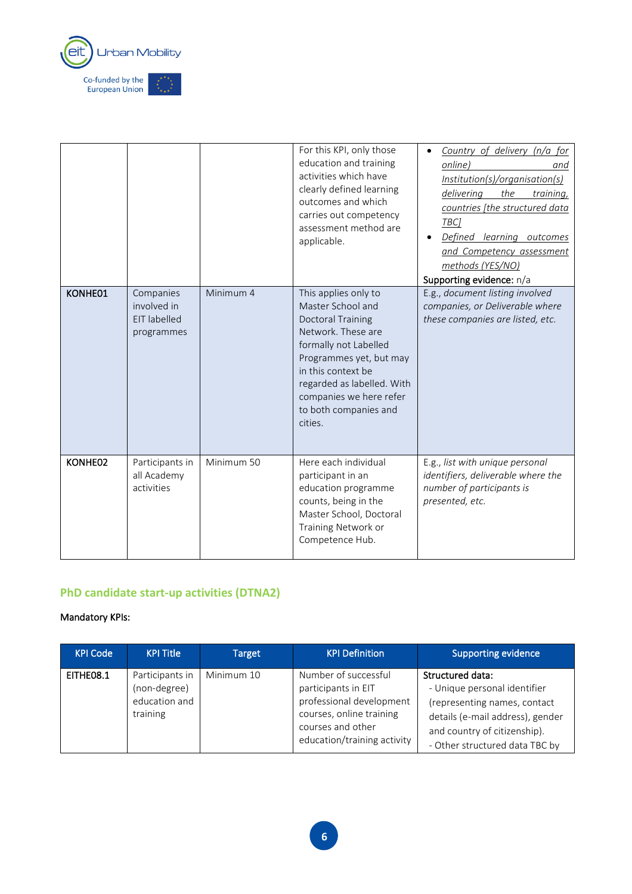

|         |                                                        |            | For this KPI, only those<br>education and training<br>activities which have<br>clearly defined learning<br>outcomes and which<br>carries out competency<br>assessment method are<br>applicable.                                                                    | Country of delivery (n/a for<br>online)<br>and<br>Institution(s)/organisation(s)<br>delivering<br>the<br>training,<br>countries [the structured data<br>TBC]<br>Defined learning outcomes<br>and Competency assessment<br>methods (YES/NO)<br>Supporting evidence: n/a |
|---------|--------------------------------------------------------|------------|--------------------------------------------------------------------------------------------------------------------------------------------------------------------------------------------------------------------------------------------------------------------|------------------------------------------------------------------------------------------------------------------------------------------------------------------------------------------------------------------------------------------------------------------------|
| KONHE01 | Companies<br>involved in<br>EIT labelled<br>programmes | Minimum 4  | This applies only to<br>Master School and<br><b>Doctoral Training</b><br>Network. These are<br>formally not Labelled<br>Programmes yet, but may<br>in this context be<br>regarded as labelled. With<br>companies we here refer<br>to both companies and<br>cities. | E.g., document listing involved<br>companies, or Deliverable where<br>these companies are listed, etc.                                                                                                                                                                 |
| KONHE02 | Participants in<br>all Academy<br>activities           | Minimum 50 | Here each individual<br>participant in an<br>education programme<br>counts, being in the<br>Master School, Doctoral<br>Training Network or<br>Competence Hub.                                                                                                      | E.g., list with unique personal<br>identifiers, deliverable where the<br>number of participants is<br>presented, etc.                                                                                                                                                  |

### **PhD candidate start-up activities (DTNA2)**

| <b>KPI Code</b> | <b>KPI Title</b>                                             | Target     | <b>KPI Definition</b>                                                                                                                                   | <b>Supporting evidence</b>                                                                                                                                                             |
|-----------------|--------------------------------------------------------------|------------|---------------------------------------------------------------------------------------------------------------------------------------------------------|----------------------------------------------------------------------------------------------------------------------------------------------------------------------------------------|
| EITHEO8.1       | Participants in<br>(non-degree)<br>education and<br>training | Minimum 10 | Number of successful<br>participants in EIT<br>professional development<br>courses, online training<br>courses and other<br>education/training activity | Structured data:<br>- Unique personal identifier<br>(representing names, contact<br>details (e-mail address), gender<br>and country of citizenship).<br>- Other structured data TBC by |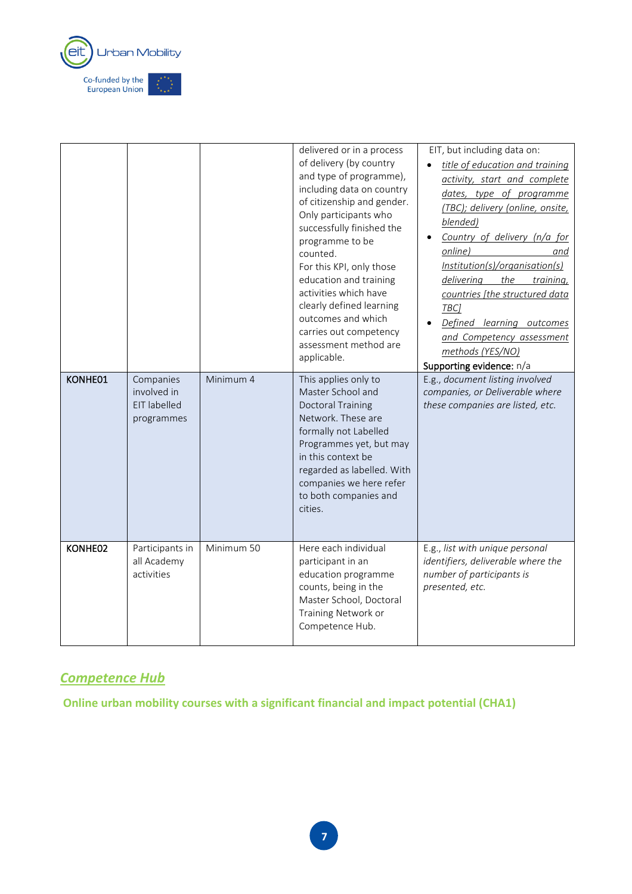

| KONHE01 | Companies<br>involved in<br><b>EIT labelled</b><br>programmes | Minimum 4  | delivered or in a process<br>of delivery (by country<br>and type of programme),<br>including data on country<br>of citizenship and gender.<br>Only participants who<br>successfully finished the<br>programme to be<br>counted.<br>For this KPI, only those<br>education and training<br>activities which have<br>clearly defined learning<br>outcomes and which<br>carries out competency<br>assessment method are<br>applicable.<br>This applies only to<br>Master School and<br><b>Doctoral Training</b><br>Network. These are<br>formally not Labelled<br>Programmes yet, but may<br>in this context be<br>regarded as labelled. With<br>companies we here refer<br>to both companies and<br>cities. | EIT, but including data on:<br>title of education and training<br>activity, start and complete<br>dates, type of programme<br>(TBC); delivery (online, onsite,<br>blended)<br>Country of delivery (n/a for<br>online)<br>and<br>Institution(s)/organisation(s)<br>delivering<br>the<br>training,<br>countries [the structured data<br>TBC]<br>Defined learning outcomes<br>and Competency assessment<br>methods (YES/NO)<br>Supporting evidence: n/a<br>E.g., document listing involved<br>companies, or Deliverable where<br>these companies are listed, etc. |
|---------|---------------------------------------------------------------|------------|----------------------------------------------------------------------------------------------------------------------------------------------------------------------------------------------------------------------------------------------------------------------------------------------------------------------------------------------------------------------------------------------------------------------------------------------------------------------------------------------------------------------------------------------------------------------------------------------------------------------------------------------------------------------------------------------------------|----------------------------------------------------------------------------------------------------------------------------------------------------------------------------------------------------------------------------------------------------------------------------------------------------------------------------------------------------------------------------------------------------------------------------------------------------------------------------------------------------------------------------------------------------------------|
| KONHE02 | Participants in<br>all Academy<br>activities                  | Minimum 50 | Here each individual<br>participant in an<br>education programme<br>counts, being in the<br>Master School, Doctoral<br>Training Network or<br>Competence Hub.                                                                                                                                                                                                                                                                                                                                                                                                                                                                                                                                            | E.g., list with unique personal<br>identifiers, deliverable where the<br>number of participants is<br>presented, etc.                                                                                                                                                                                                                                                                                                                                                                                                                                          |

## *Competence Hub*

**Online urban mobility courses with a significant financial and impact potential (CHA1)**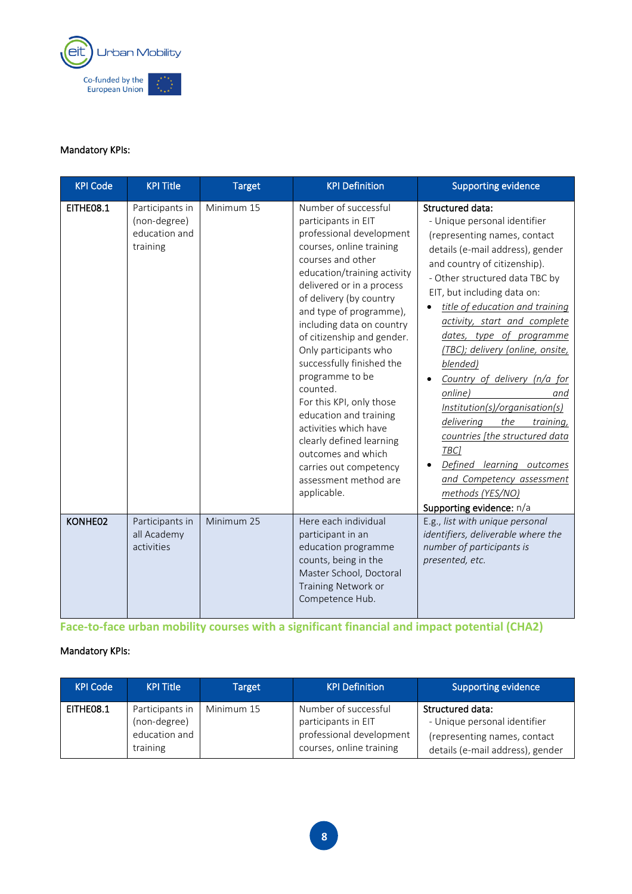

#### Mandatory KPIs:

| <b>KPI Code</b> | <b>KPI Title</b>                                             | <b>Target</b> | <b>KPI Definition</b>                                                                                                                                                                                                                                                                                                                                                                                                                                                                                                                                                                         | <b>Supporting evidence</b>                                                                                                                                                                                                                                                                                                                                                                                                                                                                                                                                                                                                                            |
|-----------------|--------------------------------------------------------------|---------------|-----------------------------------------------------------------------------------------------------------------------------------------------------------------------------------------------------------------------------------------------------------------------------------------------------------------------------------------------------------------------------------------------------------------------------------------------------------------------------------------------------------------------------------------------------------------------------------------------|-------------------------------------------------------------------------------------------------------------------------------------------------------------------------------------------------------------------------------------------------------------------------------------------------------------------------------------------------------------------------------------------------------------------------------------------------------------------------------------------------------------------------------------------------------------------------------------------------------------------------------------------------------|
| EITHE08.1       | Participants in<br>(non-degree)<br>education and<br>training | Minimum 15    | Number of successful<br>participants in EIT<br>professional development<br>courses, online training<br>courses and other<br>education/training activity<br>delivered or in a process<br>of delivery (by country<br>and type of programme),<br>including data on country<br>of citizenship and gender.<br>Only participants who<br>successfully finished the<br>programme to be<br>counted.<br>For this KPI, only those<br>education and training<br>activities which have<br>clearly defined learning<br>outcomes and which<br>carries out competency<br>assessment method are<br>applicable. | <b>Structured data:</b><br>- Unique personal identifier<br>(representing names, contact<br>details (e-mail address), gender<br>and country of citizenship).<br>- Other structured data TBC by<br>EIT, but including data on:<br>title of education and training<br>activity, start and complete<br>dates, type of programme<br>(TBC); delivery (online, onsite,<br>blended)<br>Country of delivery (n/a for<br>online)<br>and<br>Institution(s)/organisation(s)<br>delivering<br>the<br>training,<br>countries [the structured data<br>TBC]<br>Defined learning outcomes<br>and Competency assessment<br>methods (YES/NO)<br>Supporting evidence: n/a |
| KONHE02         | Participants in<br>all Academy<br>activities                 | Minimum 25    | Here each individual<br>participant in an<br>education programme<br>counts, being in the<br>Master School, Doctoral<br>Training Network or<br>Competence Hub.                                                                                                                                                                                                                                                                                                                                                                                                                                 | E.g., list with unique personal<br>identifiers, deliverable where the<br>number of participants is<br>presented, etc.                                                                                                                                                                                                                                                                                                                                                                                                                                                                                                                                 |

**Face-to-face urban mobility courses with a significant financial and impact potential (CHA2)**

| <b>KPI Code</b> | <b>KPI Title</b>                                             | <b>Target</b> | <b>KPI Definition</b>                                                                               | <b>Supporting evidence</b>                                                                                           |
|-----------------|--------------------------------------------------------------|---------------|-----------------------------------------------------------------------------------------------------|----------------------------------------------------------------------------------------------------------------------|
| EITHEO8.1       | Participants in<br>(non-degree)<br>education and<br>training | Minimum 15    | Number of successful<br>participants in EIT<br>professional development<br>courses, online training | Structured data:<br>- Unique personal identifier<br>(representing names, contact<br>details (e-mail address), gender |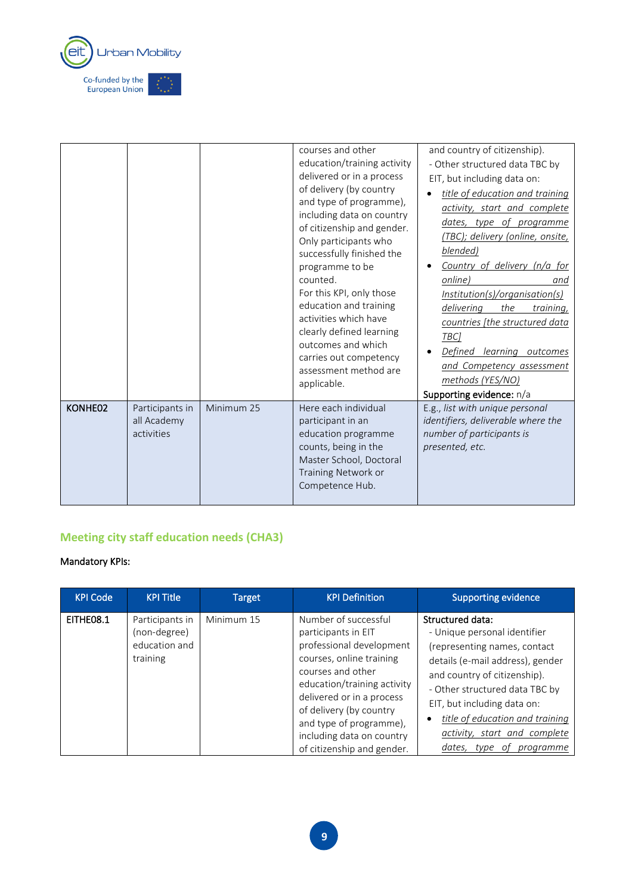

|         |                                              |            | courses and other<br>education/training activity<br>delivered or in a process<br>of delivery (by country<br>and type of programme),<br>including data on country<br>of citizenship and gender.<br>Only participants who<br>successfully finished the<br>programme to be<br>counted.<br>For this KPI, only those<br>education and training<br>activities which have<br>clearly defined learning<br>outcomes and which<br>carries out competency<br>assessment method are<br>applicable. | and country of citizenship).<br>- Other structured data TBC by<br>EIT, but including data on:<br>title of education and training<br>activity, start and complete<br>dates, type of programme<br>(TBC); delivery (online, onsite,<br>blended)<br>Country of delivery (n/a for<br>online)<br>and<br>Institution(s)/organisation(s)<br>delivering<br>the<br>training,<br>countries [the structured data<br>TBC1<br>Defined<br>learning outcomes<br>and Competency assessment<br>methods (YES/NO)<br>Supporting evidence: n/a |
|---------|----------------------------------------------|------------|----------------------------------------------------------------------------------------------------------------------------------------------------------------------------------------------------------------------------------------------------------------------------------------------------------------------------------------------------------------------------------------------------------------------------------------------------------------------------------------|---------------------------------------------------------------------------------------------------------------------------------------------------------------------------------------------------------------------------------------------------------------------------------------------------------------------------------------------------------------------------------------------------------------------------------------------------------------------------------------------------------------------------|
| KONHE02 | Participants in<br>all Academy<br>activities | Minimum 25 | Here each individual<br>participant in an<br>education programme<br>counts, being in the<br>Master School, Doctoral<br>Training Network or<br>Competence Hub.                                                                                                                                                                                                                                                                                                                          | E.g., list with unique personal<br>identifiers, deliverable where the<br>number of participants is<br>presented, etc.                                                                                                                                                                                                                                                                                                                                                                                                     |

# **Meeting city staff education needs (CHA3)**

| <b>KPI Code</b> | <b>KPI Title</b>                                             | Target     | <b>KPI Definition</b>                                                                                                                                                                                                                                                                                 | <b>Supporting evidence</b>                                                                                                                                                                                                                                                                                                 |
|-----------------|--------------------------------------------------------------|------------|-------------------------------------------------------------------------------------------------------------------------------------------------------------------------------------------------------------------------------------------------------------------------------------------------------|----------------------------------------------------------------------------------------------------------------------------------------------------------------------------------------------------------------------------------------------------------------------------------------------------------------------------|
| EITHE08.1       | Participants in<br>(non-degree)<br>education and<br>training | Minimum 15 | Number of successful<br>participants in EIT<br>professional development<br>courses, online training<br>courses and other<br>education/training activity<br>delivered or in a process<br>of delivery (by country<br>and type of programme),<br>including data on country<br>of citizenship and gender. | Structured data:<br>- Unique personal identifier<br>(representing names, contact<br>details (e-mail address), gender<br>and country of citizenship).<br>- Other structured data TBC by<br>EIT, but including data on:<br>title of education and training<br>activity, start and complete<br>dates,<br>type of<br>programme |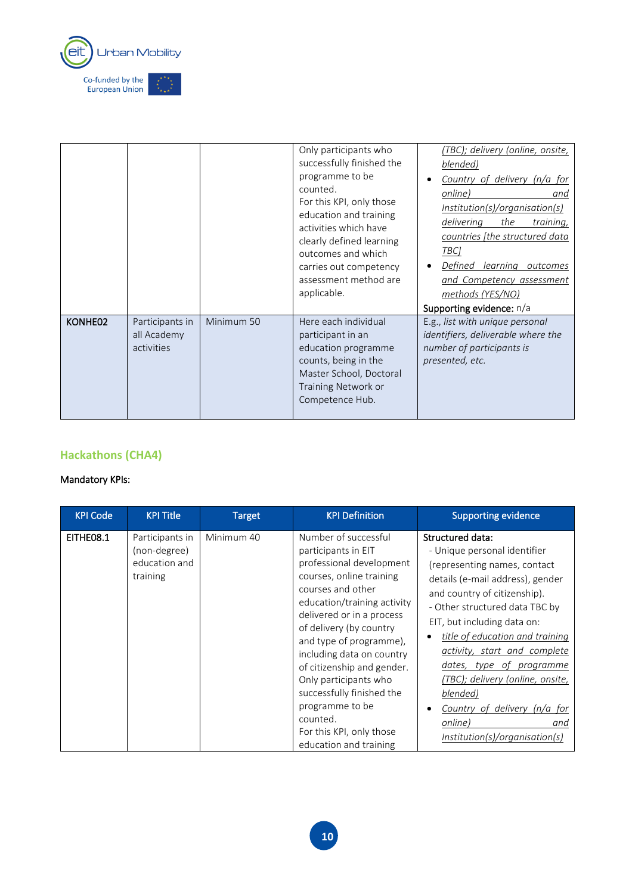

|         |                                              |            | Only participants who<br>successfully finished the<br>programme to be<br>counted.<br>For this KPI, only those<br>education and training<br>activities which have<br>clearly defined learning<br>outcomes and which<br>carries out competency<br>assessment method are<br>applicable. | (TBC); delivery (online, onsite,<br>blended)<br>Country of delivery (n/a for<br>online)<br>and<br>Institution(s)/organisation(s)<br>delivering<br>the<br>training,<br>countries (the structured data<br>TBC]<br>Defined<br>learning<br>outcomes<br>and Competency assessment<br>methods (YES/NO)<br>Supporting evidence: n/a |
|---------|----------------------------------------------|------------|--------------------------------------------------------------------------------------------------------------------------------------------------------------------------------------------------------------------------------------------------------------------------------------|------------------------------------------------------------------------------------------------------------------------------------------------------------------------------------------------------------------------------------------------------------------------------------------------------------------------------|
| KONHE02 | Participants in<br>all Academy<br>activities | Minimum 50 | Here each individual<br>participant in an<br>education programme<br>counts, being in the<br>Master School, Doctoral<br>Training Network or<br>Competence Hub.                                                                                                                        | E.g., list with unique personal<br>identifiers, deliverable where the<br>number of participants is<br>presented, etc.                                                                                                                                                                                                        |

### **Hackathons (CHA4)**

| <b>KPI Code</b> | <b>KPI Title</b>                                             | Target     | <b>KPI</b> Definition                                                                                                                                                                                                                                                                                                                                                                                                                            | <b>Supporting evidence</b>                                                                                                                                                                                                                                                                                                                                                                                                                               |
|-----------------|--------------------------------------------------------------|------------|--------------------------------------------------------------------------------------------------------------------------------------------------------------------------------------------------------------------------------------------------------------------------------------------------------------------------------------------------------------------------------------------------------------------------------------------------|----------------------------------------------------------------------------------------------------------------------------------------------------------------------------------------------------------------------------------------------------------------------------------------------------------------------------------------------------------------------------------------------------------------------------------------------------------|
| EITHEO8.1       | Participants in<br>(non-degree)<br>education and<br>training | Minimum 40 | Number of successful<br>participants in EIT<br>professional development<br>courses, online training<br>courses and other<br>education/training activity<br>delivered or in a process<br>of delivery (by country<br>and type of programme),<br>including data on country<br>of citizenship and gender.<br>Only participants who<br>successfully finished the<br>programme to be<br>counted.<br>For this KPI, only those<br>education and training | Structured data:<br>- Unique personal identifier<br>(representing names, contact<br>details (e-mail address), gender<br>and country of citizenship).<br>- Other structured data TBC by<br>EIT, but including data on:<br>title of education and training<br>activity, start and complete<br>dates, type of programme<br>(TBC); delivery (online, onsite,<br>blended)<br>Country of delivery (n/a for<br>online)<br>and<br>Institution(s)/organisation(s) |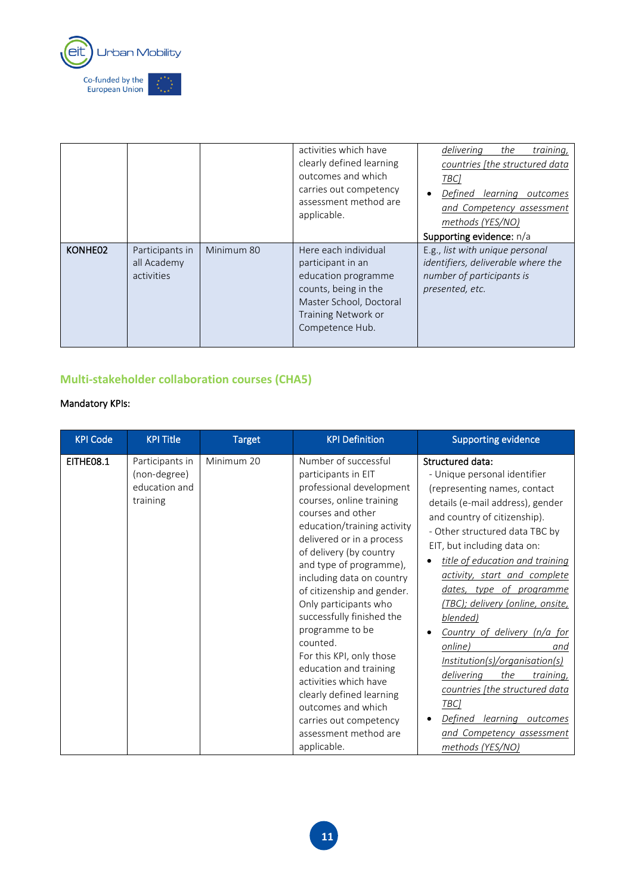

|         |                                              |            | activities which have<br>clearly defined learning<br>outcomes and which<br>carries out competency<br>assessment method are<br>applicable.                     | delivering<br>the<br>training,<br>countries [the structured data<br><b>TBCl</b><br>Defined<br>learning<br>outcomes<br>and Competency assessment<br>methods (YES/NO)<br>Supporting evidence: n/a |
|---------|----------------------------------------------|------------|---------------------------------------------------------------------------------------------------------------------------------------------------------------|-------------------------------------------------------------------------------------------------------------------------------------------------------------------------------------------------|
| KONHE02 | Participants in<br>all Academy<br>activities | Minimum 80 | Here each individual<br>participant in an<br>education programme<br>counts, being in the<br>Master School, Doctoral<br>Training Network or<br>Competence Hub. | E.g., list with unique personal<br>identifiers, deliverable where the<br>number of participants is<br>presented, etc.                                                                           |

### **Multi-stakeholder collaboration courses (CHA5)**

| <b>KPI Code</b> | <b>KPI Title</b>                                             | <b>Target</b> | <b>KPI Definition</b>                                                                                                                                                                                                                                                                                                                                                                                                                                                                                                                                                                         | <b>Supporting evidence</b>                                                                                                                                                                                                                                                                                                                                                                                                                                                                                                                                                                                            |
|-----------------|--------------------------------------------------------------|---------------|-----------------------------------------------------------------------------------------------------------------------------------------------------------------------------------------------------------------------------------------------------------------------------------------------------------------------------------------------------------------------------------------------------------------------------------------------------------------------------------------------------------------------------------------------------------------------------------------------|-----------------------------------------------------------------------------------------------------------------------------------------------------------------------------------------------------------------------------------------------------------------------------------------------------------------------------------------------------------------------------------------------------------------------------------------------------------------------------------------------------------------------------------------------------------------------------------------------------------------------|
| EITHE08.1       | Participants in<br>(non-degree)<br>education and<br>training | Minimum 20    | Number of successful<br>participants in EIT<br>professional development<br>courses, online training<br>courses and other<br>education/training activity<br>delivered or in a process<br>of delivery (by country<br>and type of programme),<br>including data on country<br>of citizenship and gender.<br>Only participants who<br>successfully finished the<br>programme to be<br>counted.<br>For this KPI, only those<br>education and training<br>activities which have<br>clearly defined learning<br>outcomes and which<br>carries out competency<br>assessment method are<br>applicable. | Structured data:<br>- Unique personal identifier<br>(representing names, contact<br>details (e-mail address), gender<br>and country of citizenship).<br>- Other structured data TBC by<br>EIT, but including data on:<br>title of education and training<br>activity, start and complete<br>dates, type of programme<br>(TBC); delivery (online, onsite,<br>blended)<br>Country of delivery (n/a for<br>online)<br>and<br>Institution(s)/organisation(s)<br>delivering<br>the<br>training,<br>countries [the structured data<br>TBC1<br>Defined learning<br>outcomes<br>and Competency assessment<br>methods (YES/NO) |